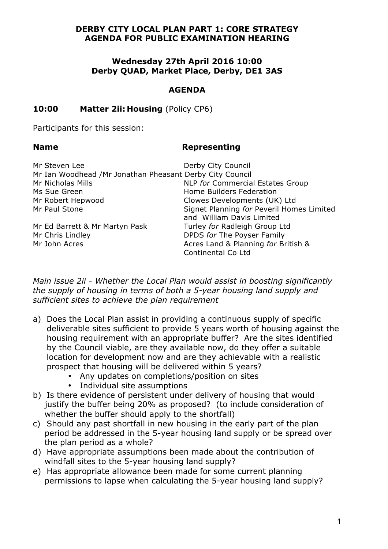## **DERBY CITY LOCAL PLAN PART 1: CORE STRATEGY AGENDA FOR PUBLIC EXAMINATION HEARING**

## **Wednesday 27th April 2016 10:00 Derby QUAD, Market Place, Derby, DE1 3AS**

## **AGENDA**

## **10:00 Matter 2ii: Housing** (Policy CP6)

Participants for this session:

#### **Name Representing**

| Mr Steven Lee                                            | Derby City Council                                                     |
|----------------------------------------------------------|------------------------------------------------------------------------|
| Mr Ian Woodhead /Mr Jonathan Pheasant Derby City Council |                                                                        |
| Mr Nicholas Mills                                        | NLP for Commercial Estates Group                                       |
| Ms Sue Green                                             | Home Builders Federation                                               |
| Mr Robert Hepwood                                        | Clowes Developments (UK) Ltd                                           |
| Mr Paul Stone                                            | Signet Planning for Peveril Homes Limited<br>and William Davis Limited |
| Mr Ed Barrett & Mr Martyn Pask                           | Turley for Radleigh Group Ltd                                          |
| Mr Chris Lindley                                         | DPDS for The Poyser Family                                             |
| Mr John Acres                                            | Acres Land & Planning for British &<br>Continental Co Ltd              |

*Main issue 2ii - Whether the Local Plan would assist in boosting significantly the supply of housing in terms of both a 5-year housing land supply and sufficient sites to achieve the plan requirement* 

- a) Does the Local Plan assist in providing a continuous supply of specific deliverable sites sufficient to provide 5 years worth of housing against the housing requirement with an appropriate buffer? Are the sites identified by the Council viable, are they available now, do they offer a suitable location for development now and are they achievable with a realistic prospect that housing will be delivered within 5 years?
	- Any updates on completions/position on sites
	- Individual site assumptions
- b) Is there evidence of persistent under delivery of housing that would justify the buffer being 20% as proposed? (to include consideration of whether the buffer should apply to the shortfall)
- c) Should any past shortfall in new housing in the early part of the plan period be addressed in the 5-year housing land supply or be spread over the plan period as a whole?
- d) Have appropriate assumptions been made about the contribution of windfall sites to the 5-year housing land supply?
- e) Has appropriate allowance been made for some current planning permissions to lapse when calculating the 5-year housing land supply?